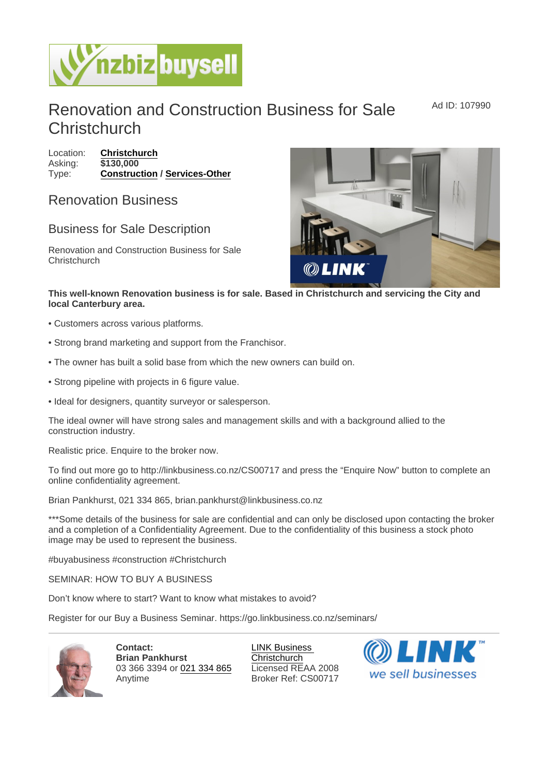## Renovation and Construction Business for Sale **Christchurch** Ad ID: 107990

Location: [Christchurch](https://www.nzbizbuysell.co.nz/businesses-for-sale/location/Christchurch) Asking: \$130,000 Type: [Construction](https://www.nzbizbuysell.co.nz/businesses-for-sale/Construction/New-Zealand) / [Services-Other](https://www.nzbizbuysell.co.nz/businesses-for-sale/Services/New-Zealand)

## Renovation Business

## Business for Sale Description

Renovation and Construction Business for Sale **Christchurch** 

This well-known Renovation business is for sale. Based in Christchurch and servicing the City and local Canterbury area.

- Customers across various platforms.
- Strong brand marketing and support from the Franchisor.
- The owner has built a solid base from which the new owners can build on.
- Strong pipeline with projects in 6 figure value.
- Ideal for designers, quantity surveyor or salesperson.

The ideal owner will have strong sales and management skills and with a background allied to the construction industry.

Realistic price. Enquire to the broker now.

To find out more go to http://linkbusiness.co.nz/CS00717 and press the "Enquire Now" button to complete an online confidentiality agreement.

Brian Pankhurst, 021 334 865, brian.pankhurst@linkbusiness.co.nz

\*\*\*Some details of the business for sale are confidential and can only be disclosed upon contacting the broker and a completion of a Confidentiality Agreement. Due to the confidentiality of this business a stock photo image may be used to represent the business.

#buyabusiness #construction #Christchurch

SEMINAR: HOW TO BUY A BUSINESS

Don't know where to start? Want to know what mistakes to avoid?

Register for our Buy a Business Seminar. https://go.linkbusiness.co.nz/seminars/

Contact: Brian Pankhurst 03 366 3394 or [021 334 865](tel:021 334 865) Anytime

[LINK Business](https://www.nzbizbuysell.co.nz/business-brokers/52/link-business-christchurch/brokerage-listings)  **[Christchurch](https://www.nzbizbuysell.co.nz/business-brokers/52/link-business-christchurch/brokerage-listings)** Licensed REAA 2008 Broker Ref: CS00717